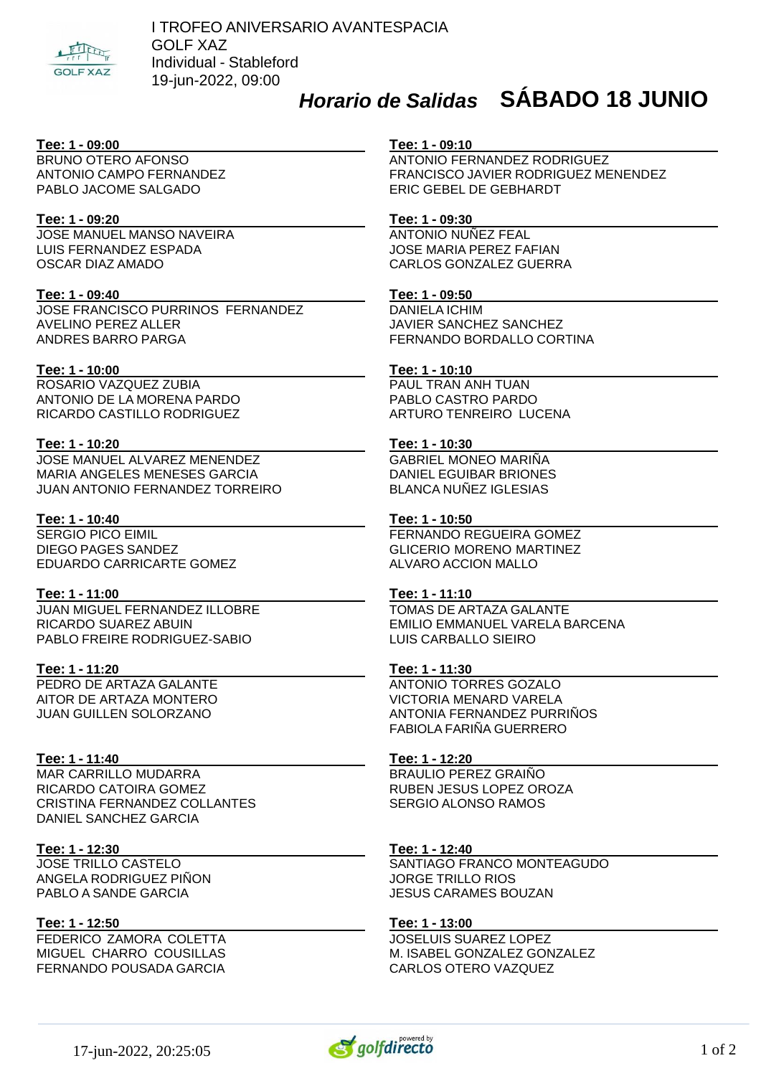

# *Horario de Salidas* **SÁBADO 18 JUNIO**

#### **Tee: 1 - 09:00**

BRUNO OTERO AFONSO ANTONIO CAMPO FERNANDEZ PABLO JACOME SALGADO

#### **Tee: 1 - 09:20**

JOSE MANUEL MANSO NAVEIRA LUIS FERNANDEZ ESPADA OSCAR DIAZ AMADO

#### **Tee: 1 - 09:40**

JOSE FRANCISCO PURRINOS FERNANDEZ AVELINO PEREZ ALLER ANDRES BARRO PARGA

#### **Tee: 1 - 10:00**

ROSARIO VAZQUEZ ZUBIA ANTONIO DE LA MORENA PARDO RICARDO CASTILLO RODRIGUEZ

#### **Tee: 1 - 10:20**

JOSE MANUEL ALVAREZ MENENDEZ MARIA ANGELES MENESES GARCIA JUAN ANTONIO FERNANDEZ TORREIRO

#### **Tee: 1 - 10:40**

SERGIO PICO EIMIL DIEGO PAGES SANDEZ EDUARDO CARRICARTE GOMEZ

#### **Tee: 1 - 11:00**

JUAN MIGUEL FERNANDEZ ILLOBRE RICARDO SUAREZ ABUIN PABLO FREIRE RODRIGUEZ-SABIO

#### **Tee: 1 - 11:20**

PEDRO DE ARTAZA GALANTE AITOR DE ARTAZA MONTERO JUAN GUILLEN SOLORZANO

#### **Tee: 1 - 11:40**

MAR CARRILLO MUDARRA RICARDO CATOIRA GOMEZ CRISTINA FERNANDEZ COLLANTES DANIEL SANCHEZ GARCIA

#### **Tee: 1 - 12:30**

JOSE TRILLO CASTELO ANGELA RODRIGUEZ PIÑON PABLO A SANDE GARCIA

#### **Tee: 1 - 12:50**

FEDERICO ZAMORA COLETTA MIGUEL CHARRO COUSILLAS FERNANDO POUSADA GARCIA

#### **Tee: 1 - 09:10**

ANTONIO FERNANDEZ RODRIGUEZ FRANCISCO JAVIER RODRIGUEZ MENENDEZ ERIC GEBEL DE GEBHARDT

#### **Tee: 1 - 09:30**

ANTONIO NUÑEZ FEAL JOSE MARIA PEREZ FAFIAN CARLOS GONZALEZ GUERRA

## **Tee: 1 - 09:50**

DANIELA ICHIM JAVIER SANCHEZ SANCHEZ FERNANDO BORDALLO CORTINA

#### **Tee: 1 - 10:10**

PAUL TRAN ANH TUAN PABLO CASTRO PARDO ARTURO TENREIRO LUCENA

#### **Tee: 1 - 10:30**

GABRIEL MONEO MARIÑA DANIEL EGUIBAR BRIONES BLANCA NUÑEZ IGLESIAS

### **Tee: 1 - 10:50**

FERNANDO REGUEIRA GOMEZ GLICERIO MORENO MARTINEZ ALVARO ACCION MALLO

#### **Tee: 1 - 11:10**

TOMAS DE ARTAZA GALANTE EMILIO EMMANUEL VARELA BARCENA LUIS CARBALLO SIEIRO

#### **Tee: 1 - 11:30**

ANTONIO TORRES GOZALO VICTORIA MENARD VARELA ANTONIA FERNANDEZ PURRIÑOS FABIOLA FARIÑA GUERRERO

#### **Tee: 1 - 12:20**

BRAULIO PEREZ GRAIÑO RUBEN JESUS LOPEZ OROZA SERGIO ALONSO RAMOS

#### **Tee: 1 - 12:40**

SANTIAGO FRANCO MONTEAGUDO JORGE TRILLO RIOS JESUS CARAMES BOUZAN

#### **Tee: 1 - 13:00**

JOSELUIS SUAREZ LOPEZ M. ISABEL GONZALEZ GONZALEZ CARLOS OTERO VAZQUEZ